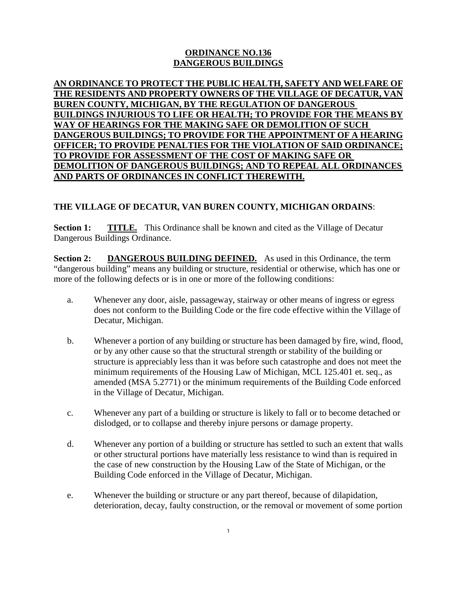## **ORDINANCE NO.136 DANGEROUS BUILDINGS**

**AN ORDINANCE TO PROTECT THE PUBLIC HEALTH, SAFETY AND WELFARE OF THE RESIDENTS AND PROPERTY OWNERS OF THE VILLAGE OF DECATUR, VAN BUREN COUNTY, MICHIGAN, BY THE REGULATION OF DANGEROUS BUILDINGS INJURIOUS TO LIFE OR HEALTH; TO PROVIDE FOR THE MEANS BY WAY OF HEARINGS FOR THE MAKING SAFE OR DEMOLITION OF SUCH DANGEROUS BUILDINGS; TO PROVIDE FOR THE APPOINTMENT OF A HEARING OFFICER; TO PROVIDE PENALTIES FOR THE VIOLATION OF SAID ORDINANCE; TO PROVIDE FOR ASSESSMENT OF THE COST OF MAKING SAFE OR DEMOLITION OF DANGEROUS BUILDINGS; AND TO REPEAL ALL ORDINANCES AND PARTS OF ORDINANCES IN CONFLICT THEREWITH.**

## **THE VILLAGE OF DECATUR, VAN BUREN COUNTY, MICHIGAN ORDAINS**:

**Section 1: TITLE.** This Ordinance shall be known and cited as the Village of Decatur Dangerous Buildings Ordinance.

**Section 2: DANGEROUS BUILDING DEFINED.** As used in this Ordinance, the term "dangerous building" means any building or structure, residential or otherwise, which has one or more of the following defects or is in one or more of the following conditions:

- a. Whenever any door, aisle, passageway, stairway or other means of ingress or egress does not conform to the Building Code or the fire code effective within the Village of Decatur, Michigan.
- b. Whenever a portion of any building or structure has been damaged by fire, wind, flood, or by any other cause so that the structural strength or stability of the building or structure is appreciably less than it was before such catastrophe and does not meet the minimum requirements of the Housing Law of Michigan, MCL 125.401 et. seq., as amended (MSA 5.2771) or the minimum requirements of the Building Code enforced in the Village of Decatur, Michigan.
- c. Whenever any part of a building or structure is likely to fall or to become detached or dislodged, or to collapse and thereby injure persons or damage property.
- d. Whenever any portion of a building or structure has settled to such an extent that walls or other structural portions have materially less resistance to wind than is required in the case of new construction by the Housing Law of the State of Michigan, or the Building Code enforced in the Village of Decatur, Michigan.
- e. Whenever the building or structure or any part thereof, because of dilapidation, deterioration, decay, faulty construction, or the removal or movement of some portion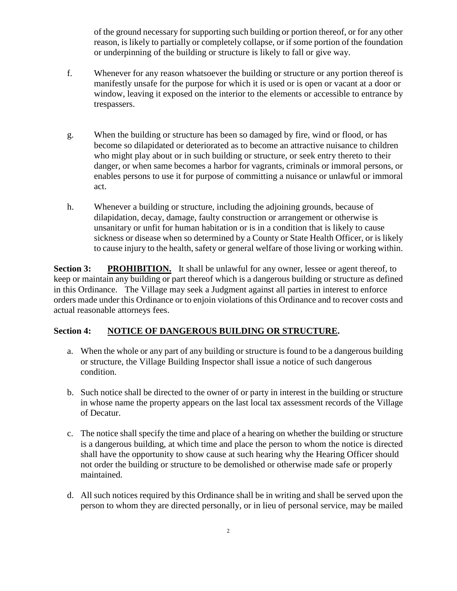of the ground necessary for supporting such building or portion thereof, or for any other reason, is likely to partially or completely collapse, or if some portion of the foundation or underpinning of the building or structure is likely to fall or give way.

- f. Whenever for any reason whatsoever the building or structure or any portion thereof is manifestly unsafe for the purpose for which it is used or is open or vacant at a door or window, leaving it exposed on the interior to the elements or accessible to entrance by trespassers.
- g. When the building or structure has been so damaged by fire, wind or flood, or has become so dilapidated or deteriorated as to become an attractive nuisance to children who might play about or in such building or structure, or seek entry thereto to their danger, or when same becomes a harbor for vagrants, criminals or immoral persons, or enables persons to use it for purpose of committing a nuisance or unlawful or immoral act.
- h. Whenever a building or structure, including the adjoining grounds, because of dilapidation, decay, damage, faulty construction or arrangement or otherwise is unsanitary or unfit for human habitation or is in a condition that is likely to cause sickness or disease when so determined by a County or State Health Officer, or is likely to cause injury to the health, safety or general welfare of those living or working within.

**Section 3: PROHIBITION.** It shall be unlawful for any owner, lessee or agent thereof, to keep or maintain any building or part thereof which is a dangerous building or structure as defined in this Ordinance. The Village may seek a Judgment against all parties in interest to enforce orders made under this Ordinance or to enjoin violations of this Ordinance and to recover costs and actual reasonable attorneys fees.

## **Section 4: NOTICE OF DANGEROUS BUILDING OR STRUCTURE.**

- a. When the whole or any part of any building or structure is found to be a dangerous building or structure, the Village Building Inspector shall issue a notice of such dangerous condition.
- b. Such notice shall be directed to the owner of or party in interest in the building or structure in whose name the property appears on the last local tax assessment records of the Village of Decatur.
- c. The notice shall specify the time and place of a hearing on whether the building or structure is a dangerous building, at which time and place the person to whom the notice is directed shall have the opportunity to show cause at such hearing why the Hearing Officer should not order the building or structure to be demolished or otherwise made safe or properly maintained.
- d. All such notices required by this Ordinance shall be in writing and shall be served upon the person to whom they are directed personally, or in lieu of personal service, may be mailed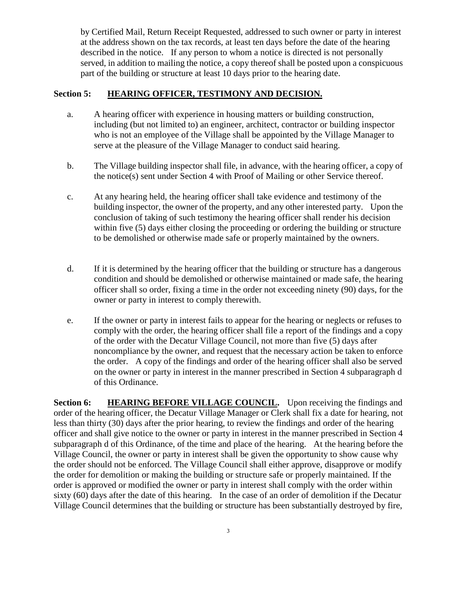by Certified Mail, Return Receipt Requested, addressed to such owner or party in interest at the address shown on the tax records, at least ten days before the date of the hearing described in the notice. If any person to whom a notice is directed is not personally served, in addition to mailing the notice, a copy thereof shall be posted upon a conspicuous part of the building or structure at least 10 days prior to the hearing date.

## **Section 5: HEARING OFFICER, TESTIMONY AND DECISION.**

- a. A hearing officer with experience in housing matters or building construction, including (but not limited to) an engineer, architect, contractor or building inspector who is not an employee of the Village shall be appointed by the Village Manager to serve at the pleasure of the Village Manager to conduct said hearing.
- b. The Village building inspector shall file, in advance, with the hearing officer, a copy of the notice(s) sent under Section 4 with Proof of Mailing or other Service thereof.
- c. At any hearing held, the hearing officer shall take evidence and testimony of the building inspector, the owner of the property, and any other interested party. Upon the conclusion of taking of such testimony the hearing officer shall render his decision within five (5) days either closing the proceeding or ordering the building or structure to be demolished or otherwise made safe or properly maintained by the owners.
- d. If it is determined by the hearing officer that the building or structure has a dangerous condition and should be demolished or otherwise maintained or made safe, the hearing officer shall so order, fixing a time in the order not exceeding ninety (90) days, for the owner or party in interest to comply therewith.
- e. If the owner or party in interest fails to appear for the hearing or neglects or refuses to comply with the order, the hearing officer shall file a report of the findings and a copy of the order with the Decatur Village Council, not more than five (5) days after noncompliance by the owner, and request that the necessary action be taken to enforce the order. A copy of the findings and order of the hearing officer shall also be served on the owner or party in interest in the manner prescribed in Section 4 subparagraph d of this Ordinance.

**Section 6:** HEARING BEFORE VILLAGE COUNCIL. Upon receiving the findings and order of the hearing officer, the Decatur Village Manager or Clerk shall fix a date for hearing, not less than thirty (30) days after the prior hearing, to review the findings and order of the hearing officer and shall give notice to the owner or party in interest in the manner prescribed in Section 4 subparagraph d of this Ordinance, of the time and place of the hearing. At the hearing before the Village Council, the owner or party in interest shall be given the opportunity to show cause why the order should not be enforced. The Village Council shall either approve, disapprove or modify the order for demolition or making the building or structure safe or properly maintained. If the order is approved or modified the owner or party in interest shall comply with the order within sixty (60) days after the date of this hearing. In the case of an order of demolition if the Decatur Village Council determines that the building or structure has been substantially destroyed by fire,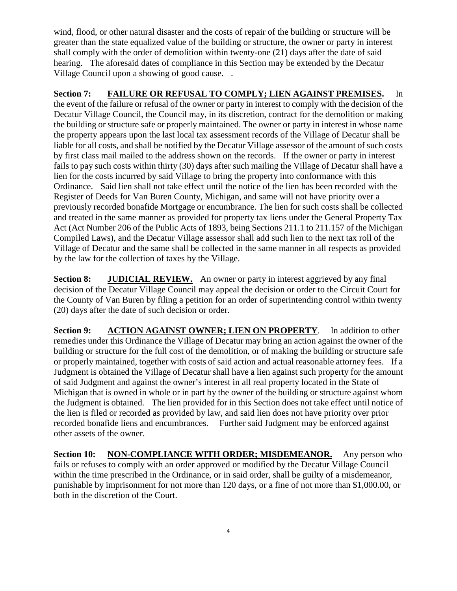wind, flood, or other natural disaster and the costs of repair of the building or structure will be greater than the state equalized value of the building or structure, the owner or party in interest shall comply with the order of demolition within twenty-one (21) days after the date of said hearing. The aforesaid dates of compliance in this Section may be extended by the Decatur Village Council upon a showing of good cause. .

**Section 7: FAILURE OR REFUSAL TO COMPLY; LIEN AGAINST PREMISES.** In the event of the failure or refusal of the owner or party in interest to comply with the decision of the Decatur Village Council, the Council may, in its discretion, contract for the demolition or making the building or structure safe or properly maintained. The owner or party in interest in whose name the property appears upon the last local tax assessment records of the Village of Decatur shall be liable for all costs, and shall be notified by the Decatur Village assessor of the amount of such costs by first class mail mailed to the address shown on the records. If the owner or party in interest fails to pay such costs within thirty (30) days after such mailing the Village of Decatur shall have a lien for the costs incurred by said Village to bring the property into conformance with this Ordinance. Said lien shall not take effect until the notice of the lien has been recorded with the Register of Deeds for Van Buren County, Michigan, and same will not have priority over a previously recorded bonafide Mortgage or encumbrance. The lien for such costs shall be collected and treated in the same manner as provided for property tax liens under the General Property Tax Act (Act Number 206 of the Public Acts of 1893, being Sections 211.1 to 211.157 of the Michigan Compiled Laws), and the Decatur Village assessor shall add such lien to the next tax roll of the Village of Decatur and the same shall be collected in the same manner in all respects as provided by the law for the collection of taxes by the Village.

**Section 8: JUDICIAL REVIEW.** An owner or party in interest aggrieved by any final decision of the Decatur Village Council may appeal the decision or order to the Circuit Court for the County of Van Buren by filing a petition for an order of superintending control within twenty (20) days after the date of such decision or order.

**Section 9: ACTION AGAINST OWNER; LIEN ON PROPERTY**. In addition to other remedies under this Ordinance the Village of Decatur may bring an action against the owner of the building or structure for the full cost of the demolition, or of making the building or structure safe or properly maintained, together with costs of said action and actual reasonable attorney fees. If a Judgment is obtained the Village of Decatur shall have a lien against such property for the amount of said Judgment and against the owner's interest in all real property located in the State of Michigan that is owned in whole or in part by the owner of the building or structure against whom the Judgment is obtained. The lien provided for in this Section does not take effect until notice of the lien is filed or recorded as provided by law, and said lien does not have priority over prior recorded bonafide liens and encumbrances. Further said Judgment may be enforced against other assets of the owner.

**Section 10: NON-COMPLIANCE WITH ORDER; MISDEMEANOR.** Any person who fails or refuses to comply with an order approved or modified by the Decatur Village Council within the time prescribed in the Ordinance, or in said order, shall be guilty of a misdemeanor, punishable by imprisonment for not more than 120 days, or a fine of not more than \$1,000.00, or both in the discretion of the Court.